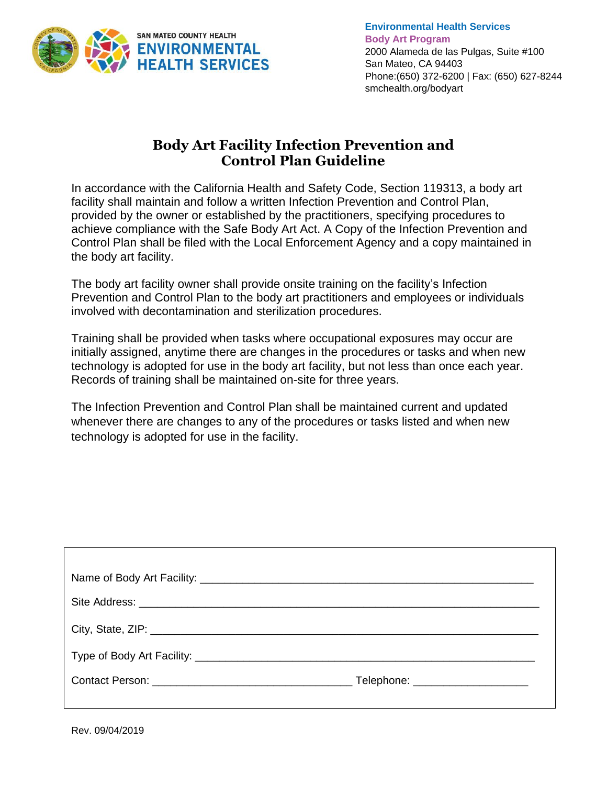

# **Body Art Facility Infection Prevention and Control Plan Guideline**

In accordance with the California Health and Safety Code, Section 119313, a body art facility shall maintain and follow a written Infection Prevention and Control Plan, provided by the owner or established by the practitioners, specifying procedures to achieve compliance with the Safe Body Art Act. A Copy of the Infection Prevention and Control Plan shall be filed with the Local Enforcement Agency and a copy maintained in the body art facility.

The body art facility owner shall provide onsite training on the facility's Infection Prevention and Control Plan to the body art practitioners and employees or individuals involved with decontamination and sterilization procedures.

Training shall be provided when tasks where occupational exposures may occur are initially assigned, anytime there are changes in the procedures or tasks and when new technology is adopted for use in the body art facility, but not less than once each year. Records of training shall be maintained on-site for three years.

The Infection Prevention and Control Plan shall be maintained current and updated whenever there are changes to any of the procedures or tasks listed and when new technology is adopted for use in the facility.

|  | Telephone: ______________________ |  |  |  |  |  |  |
|--|-----------------------------------|--|--|--|--|--|--|
|  |                                   |  |  |  |  |  |  |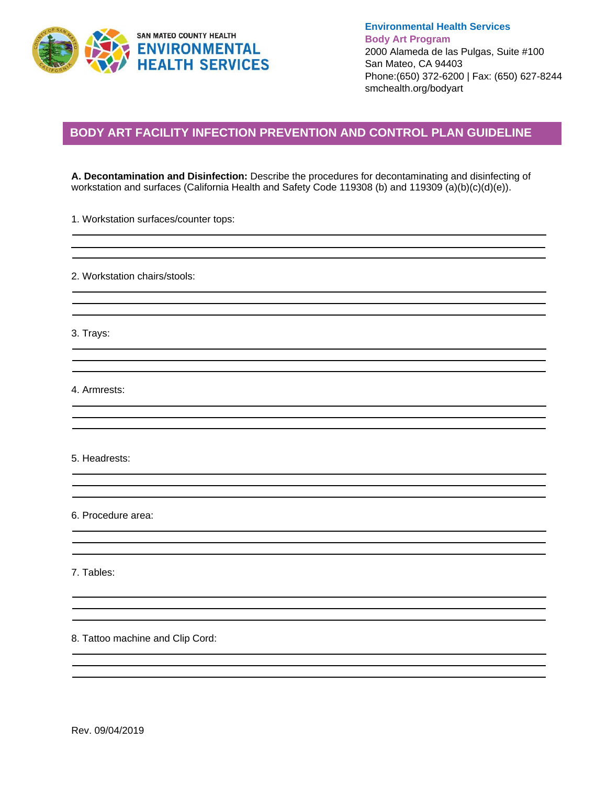

## **BODY ART FACILITY INFECTION PREVENTION AND CONTROL PLAN GUIDELINE**

**A. Decontamination and Disinfection:** Describe the procedures for decontaminating and disinfecting of workstation and surfaces (California Health and Safety Code 119308 (b) and 119309 (a)(b)(c)(d)(e)).

1. Workstation surfaces/counter tops:

2. Workstation chairs/stools:

3. Trays:

4. Armrests:

5. Headrests:

6. Procedure area:

7. Tables:

8. Tattoo machine and Clip Cord: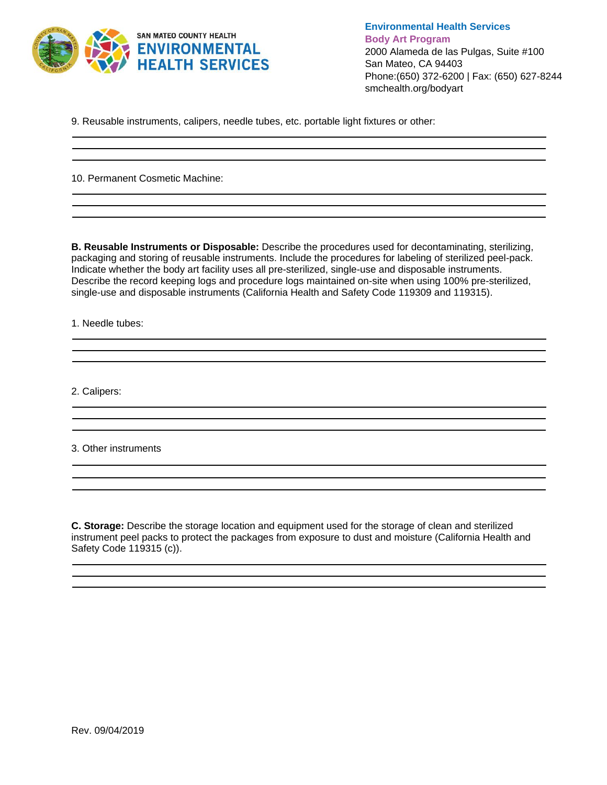

9. Reusable instruments, calipers, needle tubes, etc. portable light fixtures or other:

the control of the control of the control of the control of the control of the control of the control of the control of the control of the control of the control of the control of the control of the control of the control

10. Permanent Cosmetic Machine:

**B. Reusable Instruments or Disposable:** Describe the procedures used for decontaminating, sterilizing, packaging and storing of reusable instruments. Include the procedures for labeling of sterilized peel-pack. Indicate whether the body art facility uses all pre-sterilized, single-use and disposable instruments. Describe the record keeping logs and procedure logs maintained on-site when using 100% pre-sterilized, single-use and disposable instruments (California Health and Safety Code 119309 and 119315).

1. Needle tubes:

2. Calipers:

3. Other instruments

**C. Storage:** Describe the storage location and equipment used for the storage of clean and sterilized instrument peel packs to protect the packages from exposure to dust and moisture (California Health and Safety Code 119315 (c)).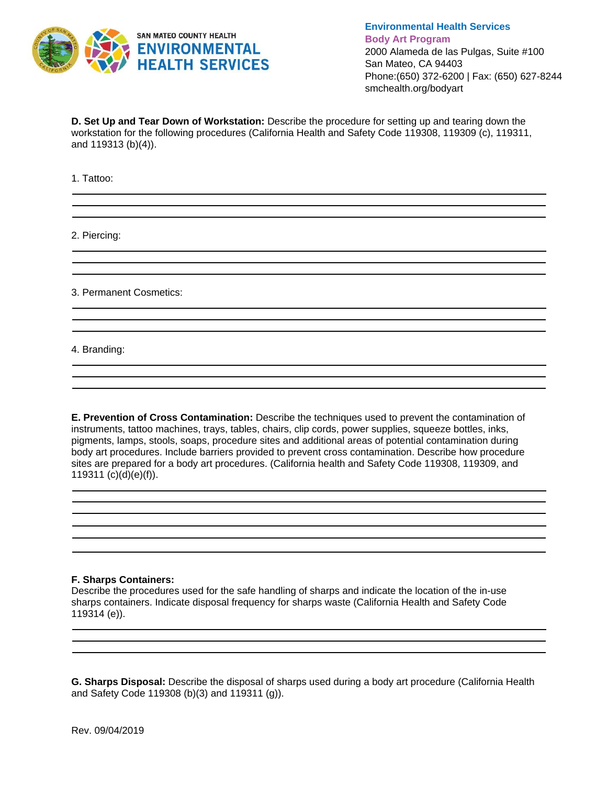

**D. Set Up and Tear Down of Workstation:** Describe the procedure for setting up and tearing down the workstation for the following procedures (California Health and Safety Code 119308, 119309 (c), 119311, and 119313 (b)(4)).

1. Tattoo:

2. Piercing:

3. Permanent Cosmetics:

4. Branding:

**E. Prevention of Cross Contamination:** Describe the techniques used to prevent the contamination of instruments, tattoo machines, trays, tables, chairs, clip cords, power supplies, squeeze bottles, inks, pigments, lamps, stools, soaps, procedure sites and additional areas of potential contamination during body art procedures. Include barriers provided to prevent cross contamination. Describe how procedure sites are prepared for a body art procedures. (California health and Safety Code 119308, 119309, and 119311 (c)(d)(e)(f)).

#### **F. Sharps Containers:**

Describe the procedures used for the safe handling of sharps and indicate the location of the in-use sharps containers. Indicate disposal frequency for sharps waste (California Health and Safety Code 119314 (e)).

**G. Sharps Disposal:** Describe the disposal of sharps used during a body art procedure (California Health and Safety Code 119308 (b)(3) and 119311 (g)).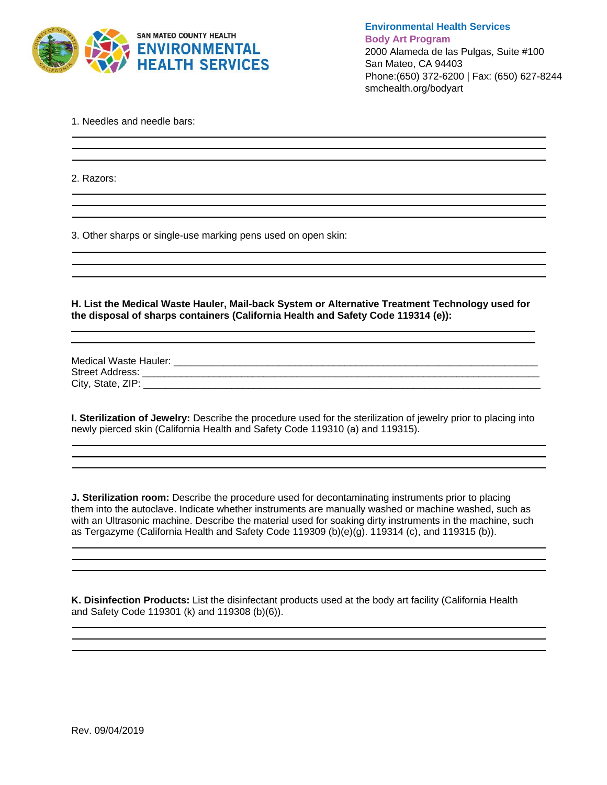

1. Needles and needle bars:

2. Razors:

3. Other sharps or single-use marking pens used on open skin:

**H. List the Medical Waste Hauler, Mail-back System or Alternative Treatment Technology used for the disposal of sharps containers (California Health and Safety Code 119314 (e)):** 

<u> 1989 - Johann Stoff, amerikansk politiker (\* 1908)</u>

Medical Waste Hauler: \_\_\_\_\_\_\_\_\_\_\_\_\_\_\_\_\_\_\_\_\_\_\_\_\_\_\_\_\_\_\_\_\_\_\_\_\_\_\_\_\_\_\_\_\_\_\_\_\_\_\_\_\_\_\_\_\_\_\_\_\_\_\_\_\_\_ Street Address: \_\_\_\_\_\_\_\_\_\_\_\_\_\_\_\_\_\_\_\_\_\_\_\_\_\_\_\_\_\_\_\_\_\_\_\_\_\_\_\_\_\_\_\_\_\_\_\_\_\_\_\_\_\_\_\_\_\_\_\_\_\_\_\_\_\_\_\_\_\_\_\_ City, State, ZIP: **Example 20** 

**I. Sterilization of Jewelry:** Describe the procedure used for the sterilization of jewelry prior to placing into newly pierced skin (California Health and Safety Code 119310 (a) and 119315).

and the control of the control of the control of the control of the control of the control of the control of the

<u> 1980 - Andrea Station Barbara, actor a component de la componentación de la componentación de la componentaci</u>

**J. Sterilization room:** Describe the procedure used for decontaminating instruments prior to placing them into the autoclave. Indicate whether instruments are manually washed or machine washed, such as with an Ultrasonic machine. Describe the material used for soaking dirty instruments in the machine, such as Tergazyme (California Health and Safety Code 119309 (b)(e)(g). 119314 (c), and 119315 (b)).

**K. Disinfection Products:** List the disinfectant products used at the body art facility (California Health and Safety Code 119301 (k) and 119308 (b)(6)).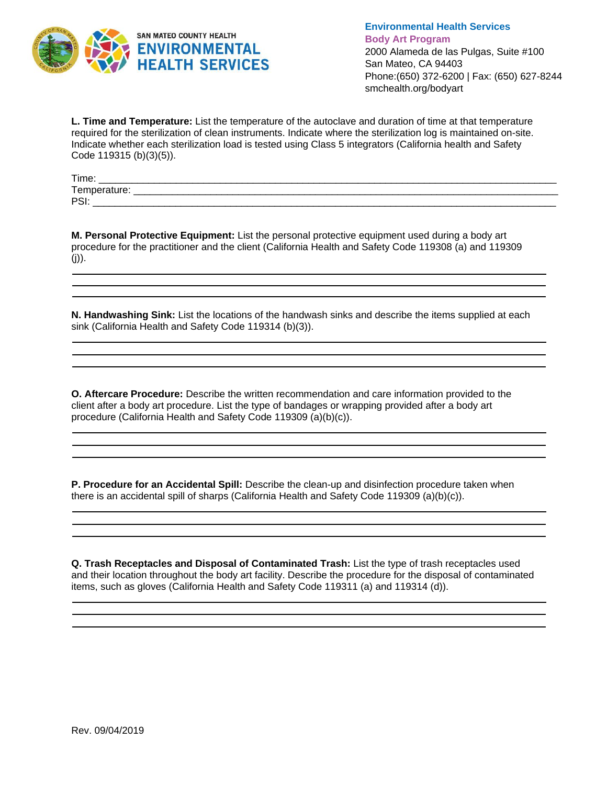

**L. Time and Temperature:** List the temperature of the autoclave and duration of time at that temperature required for the sterilization of clean instruments. Indicate where the sterilization log is maintained on-site. Indicate whether each sterilization load is tested using Class 5 integrators (California health and Safety Code 119315 (b)(3)(5)).

| Time.                          | ______                                                                |
|--------------------------------|-----------------------------------------------------------------------|
| $\sim$ $\sim$<br>l emperature: |                                                                       |
| DQ<br>ັ                        | ___________________________<br>__________<br>_________<br>___________ |

**M. Personal Protective Equipment:** List the personal protective equipment used during a body art procedure for the practitioner and the client (California Health and Safety Code 119308 (a) and 119309  $(i)$ ).

**N. Handwashing Sink:** List the locations of the handwash sinks and describe the items supplied at each sink (California Health and Safety Code 119314 (b)(3)).

**O. Aftercare Procedure:** Describe the written recommendation and care information provided to the client after a body art procedure. List the type of bandages or wrapping provided after a body art procedure (California Health and Safety Code 119309 (a)(b)(c)).

**P. Procedure for an Accidental Spill:** Describe the clean-up and disinfection procedure taken when there is an accidental spill of sharps (California Health and Safety Code 119309 (a)(b)(c)).

**Q. Trash Receptacles and Disposal of Contaminated Trash:** List the type of trash receptacles used and their location throughout the body art facility. Describe the procedure for the disposal of contaminated items, such as gloves (California Health and Safety Code 119311 (a) and 119314 (d)).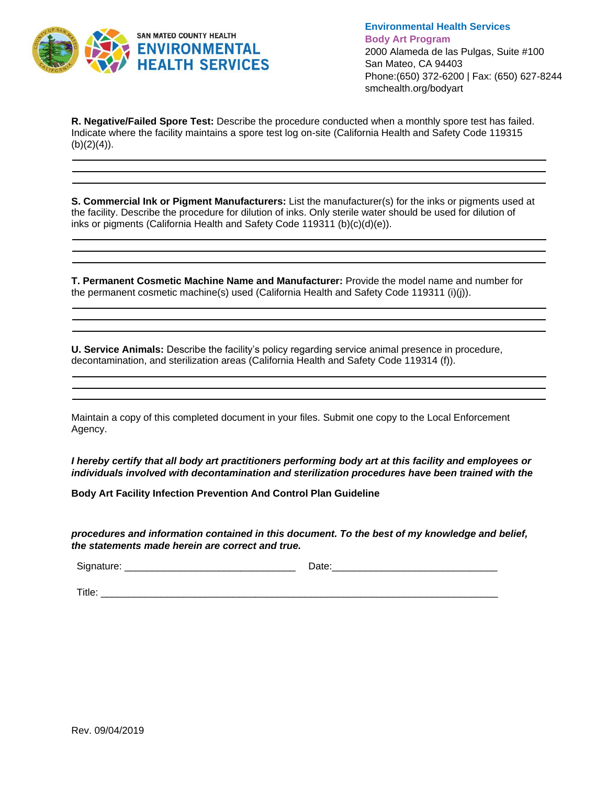

**R. Negative/Failed Spore Test:** Describe the procedure conducted when a monthly spore test has failed. Indicate where the facility maintains a spore test log on-site (California Health and Safety Code 119315  $(b)(2)(4)$ ).

**S. Commercial Ink or Pigment Manufacturers:** List the manufacturer(s) for the inks or pigments used at the facility. Describe the procedure for dilution of inks. Only sterile water should be used for dilution of inks or pigments (California Health and Safety Code 119311 (b)(c)(d)(e)).

**T. Permanent Cosmetic Machine Name and Manufacturer:** Provide the model name and number for the permanent cosmetic machine(s) used (California Health and Safety Code 119311 (i)(j)).

**U. Service Animals:** Describe the facility's policy regarding service animal presence in procedure, decontamination, and sterilization areas (California Health and Safety Code 119314 (f)).

Maintain a copy of this completed document in your files. Submit one copy to the Local Enforcement Agency.

*I hereby certify that all body art practitioners performing body art at this facility and employees or individuals involved with decontamination and sterilization procedures have been trained with the* 

**Body Art Facility Infection Prevention And Control Plan Guideline**

*procedures and information contained in this document. To the best of my knowledge and belief, the statements made herein are correct and true.*

Signature: \_\_\_\_\_\_\_\_\_\_\_\_\_\_\_\_\_\_\_\_\_\_\_\_\_\_\_\_\_\_\_ Date:\_\_\_\_\_\_\_\_\_\_\_\_\_\_\_\_\_\_\_\_\_\_\_\_\_\_\_\_\_\_

Title:  $\Box$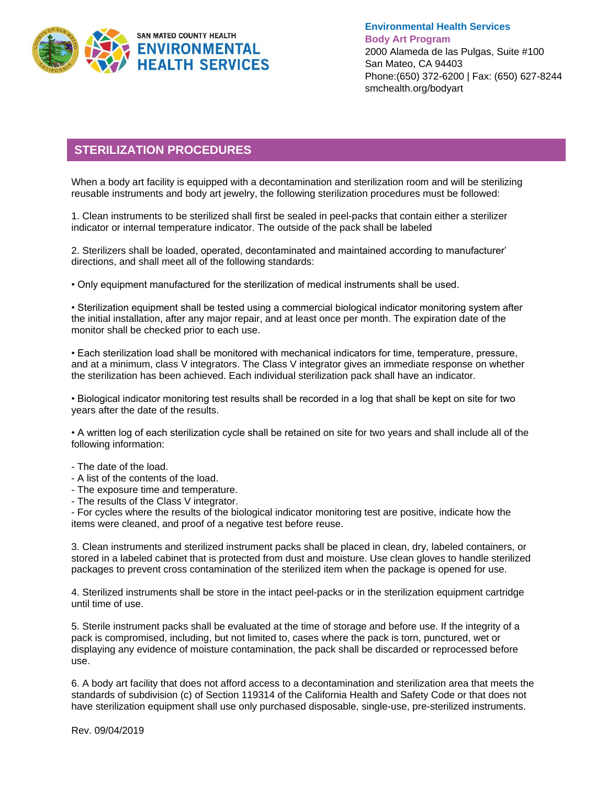

## **STERILIZATION PROCEDURES**

When a body art facility is equipped with a decontamination and sterilization room and will be sterilizing reusable instruments and body art jewelry, the following sterilization procedures must be followed:

1. Clean instruments to be sterilized shall first be sealed in peel-packs that contain either a sterilizer indicator or internal temperature indicator. The outside of the pack shall be labeled

2. Sterilizers shall be loaded, operated, decontaminated and maintained according to manufacturer' directions, and shall meet all of the following standards:

• Only equipment manufactured for the sterilization of medical instruments shall be used.

• Sterilization equipment shall be tested using a commercial biological indicator monitoring system after the initial installation, after any major repair, and at least once per month. The expiration date of the monitor shall be checked prior to each use.

• Each sterilization load shall be monitored with mechanical indicators for time, temperature, pressure, and at a minimum, class V integrators. The Class V integrator gives an immediate response on whether the sterilization has been achieved. Each individual sterilization pack shall have an indicator.

• Biological indicator monitoring test results shall be recorded in a log that shall be kept on site for two years after the date of the results.

• A written log of each sterilization cycle shall be retained on site for two years and shall include all of the following information:

- The date of the load.
- A list of the contents of the load.
- The exposure time and temperature.
- The results of the Class V integrator.

- For cycles where the results of the biological indicator monitoring test are positive, indicate how the items were cleaned, and proof of a negative test before reuse.

3. Clean instruments and sterilized instrument packs shall be placed in clean, dry, labeled containers, or stored in a labeled cabinet that is protected from dust and moisture. Use clean gloves to handle sterilized packages to prevent cross contamination of the sterilized item when the package is opened for use.

4. Sterilized instruments shall be store in the intact peel-packs or in the sterilization equipment cartridge until time of use.

5. Sterile instrument packs shall be evaluated at the time of storage and before use. If the integrity of a pack is compromised, including, but not limited to, cases where the pack is torn, punctured, wet or displaying any evidence of moisture contamination, the pack shall be discarded or reprocessed before use.

6. A body art facility that does not afford access to a decontamination and sterilization area that meets the standards of subdivision (c) of Section 119314 of the California Health and Safety Code or that does not have sterilization equipment shall use only purchased disposable, single-use, pre-sterilized instruments.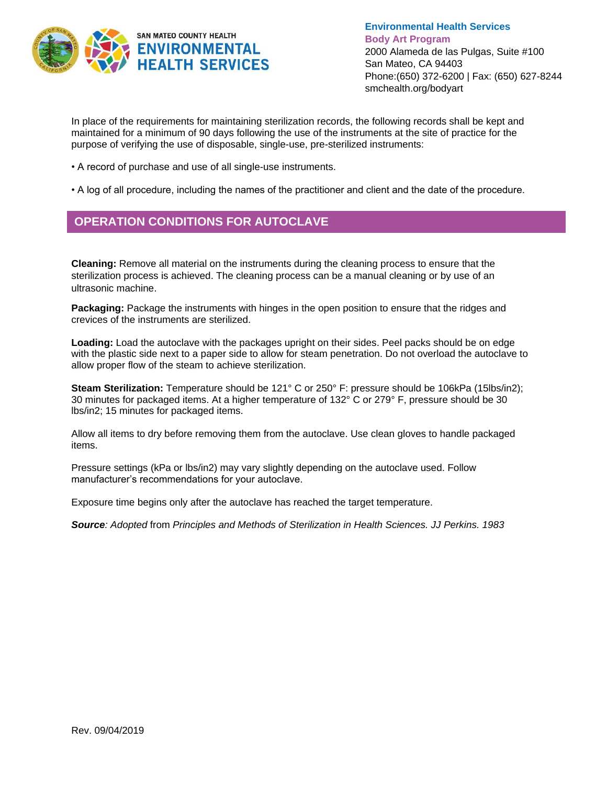

In place of the requirements for maintaining sterilization records, the following records shall be kept and maintained for a minimum of 90 days following the use of the instruments at the site of practice for the purpose of verifying the use of disposable, single-use, pre-sterilized instruments:

- A record of purchase and use of all single-use instruments.
- A log of all procedure, including the names of the practitioner and client and the date of the procedure.

### **OPERATION CONDITIONS FOR AUTOCLAVE**

**Cleaning:** Remove all material on the instruments during the cleaning process to ensure that the sterilization process is achieved. The cleaning process can be a manual cleaning or by use of an ultrasonic machine.

**Packaging:** Package the instruments with hinges in the open position to ensure that the ridges and crevices of the instruments are sterilized.

**Loading:** Load the autoclave with the packages upright on their sides. Peel packs should be on edge with the plastic side next to a paper side to allow for steam penetration. Do not overload the autoclave to allow proper flow of the steam to achieve sterilization.

**Steam Sterilization:** Temperature should be 121° C or 250° F: pressure should be 106kPa (15lbs/in2); 30 minutes for packaged items. At a higher temperature of 132° C or 279° F, pressure should be 30 lbs/in2; 15 minutes for packaged items.

Allow all items to dry before removing them from the autoclave. Use clean gloves to handle packaged items.

Pressure settings (kPa or lbs/in2) may vary slightly depending on the autoclave used. Follow manufacturer's recommendations for your autoclave.

Exposure time begins only after the autoclave has reached the target temperature.

*Source: Adopted* from *Principles and Methods of Sterilization in Health Sciences. JJ Perkins. 1983*